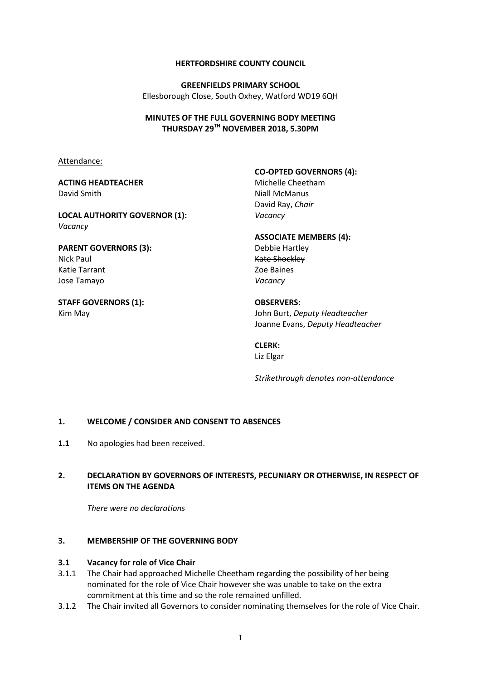#### **HERTFORDSHIRE COUNTY COUNCIL**

**GREENFIELDS PRIMARY SCHOOL** Ellesborough Close, South Oxhey, Watford WD19 6QH

#### **MINUTES OF THE FULL GOVERNING BODY MEETING THURSDAY 29TH NOVEMBER 2018, 5.30PM**

Attendance:

#### **ACTING HEADTEACHER** David Smith

**LOCAL AUTHORITY GOVERNOR (1):** *Vacancy*

**PARENT GOVERNORS (3):** Nick Paul Katie Tarrant Jose Tamayo

**STAFF GOVERNORS (1):** Kim May

**CO-OPTED GOVERNORS (4):** Michelle Cheetham Niall McManus David Ray, *Chair Vacancy*

**ASSOCIATE MEMBERS (4):** Debbie Hartley Kate Shockley Zoe Baines *Vacancy*

**OBSERVERS:** John Burt, *Deputy Headteacher* Joanne Evans, *Deputy Headteacher*

# **CLERK:**

Liz Elgar

*Strikethrough denotes non-attendance*

#### **1. WELCOME / CONSIDER AND CONSENT TO ABSENCES**

1.1 No apologies had been received.

## **2. DECLARATION BY GOVERNORS OF INTERESTS, PECUNIARY OR OTHERWISE, IN RESPECT OF ITEMS ON THE AGENDA**

*There were no declarations*

#### **3. MEMBERSHIP OF THE GOVERNING BODY**

#### **3.1 Vacancy for role of Vice Chair**

- 3.1.1 The Chair had approached Michelle Cheetham regarding the possibility of her being nominated for the role of Vice Chair however she was unable to take on the extra commitment at this time and so the role remained unfilled.
- 3.1.2 The Chair invited all Governors to consider nominating themselves for the role of Vice Chair.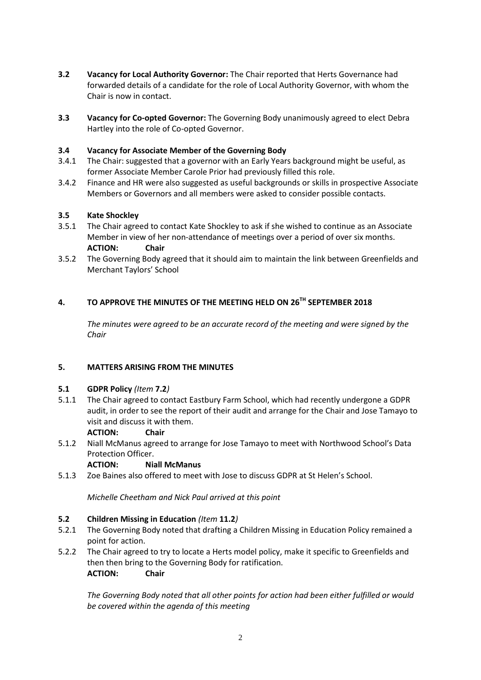- **3.2 Vacancy for Local Authority Governor:** The Chair reported that Herts Governance had forwarded details of a candidate for the role of Local Authority Governor, with whom the Chair is now in contact.
- **3.3 Vacancy for Co-opted Governor:** The Governing Body unanimously agreed to elect Debra Hartley into the role of Co-opted Governor.

## **3.4 Vacancy for Associate Member of the Governing Body**

- 3.4.1 The Chair: suggested that a governor with an Early Years background might be useful, as former Associate Member Carole Prior had previously filled this role.
- 3.4.2 Finance and HR were also suggested as useful backgrounds or skills in prospective Associate Members or Governors and all members were asked to consider possible contacts.

#### **3.5 Kate Shockley**

- 3.5.1 The Chair agreed to contact Kate Shockley to ask if she wished to continue as an Associate Member in view of her non-attendance of meetings over a period of over six months. **ACTION: Chair**
- 3.5.2 The Governing Body agreed that it should aim to maintain the link between Greenfields and Merchant Taylors' School

## **4. TO APPROVE THE MINUTES OF THE MEETING HELD ON 26TH SEPTEMBER 2018**

*The minutes were agreed to be an accurate record of the meeting and were signed by the Chair*

#### **5. MATTERS ARISING FROM THE MINUTES**

#### **5.1 GDPR Policy** *(Item* **7.2***)*

5.1.1 The Chair agreed to contact Eastbury Farm School, which had recently undergone a GDPR audit, in order to see the report of their audit and arrange for the Chair and Jose Tamayo to visit and discuss it with them.

#### **ACTION: Chair**

5.1.2 Niall McManus agreed to arrange for Jose Tamayo to meet with Northwood School's Data Protection Officer.

#### **ACTION: Niall McManus**

5.1.3 Zoe Baines also offered to meet with Jose to discuss GDPR at St Helen's School.

*Michelle Cheetham and Nick Paul arrived at this point*

#### **5.2 Children Missing in Education** *(Item* **11.2***)*

- 5.2.1 The Governing Body noted that drafting a Children Missing in Education Policy remained a point for action.
- 5.2.2 The Chair agreed to try to locate a Herts model policy, make it specific to Greenfields and then then bring to the Governing Body for ratification. **ACTION: Chair**

*The Governing Body noted that all other points for action had been either fulfilled or would be covered within the agenda of this meeting*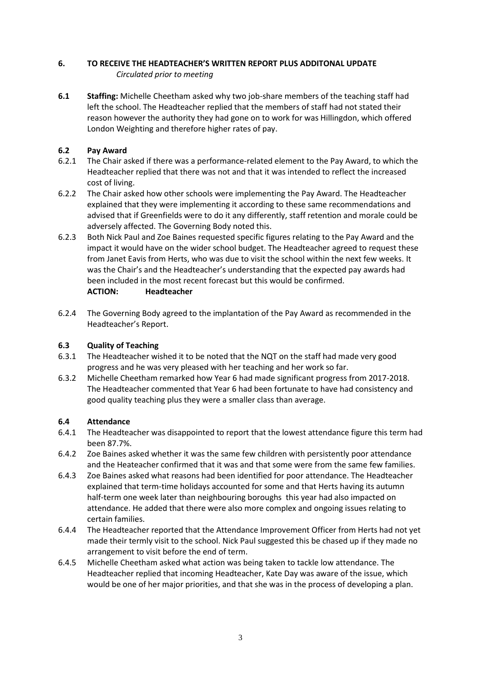## **6. TO RECEIVE THE HEADTEACHER'S WRITTEN REPORT PLUS ADDITONAL UPDATE** *Circulated prior to meeting*

**6.1 Staffing:** Michelle Cheetham asked why two job-share members of the teaching staff had left the school. The Headteacher replied that the members of staff had not stated their reason however the authority they had gone on to work for was Hillingdon, which offered London Weighting and therefore higher rates of pay.

## **6.2 Pay Award**

- 6.2.1 The Chair asked if there was a performance-related element to the Pay Award, to which the Headteacher replied that there was not and that it was intended to reflect the increased cost of living.
- 6.2.2 The Chair asked how other schools were implementing the Pay Award. The Headteacher explained that they were implementing it according to these same recommendations and advised that if Greenfields were to do it any differently, staff retention and morale could be adversely affected. The Governing Body noted this.
- 6.2.3 Both Nick Paul and Zoe Baines requested specific figures relating to the Pay Award and the impact it would have on the wider school budget. The Headteacher agreed to request these from Janet Eavis from Herts, who was due to visit the school within the next few weeks. It was the Chair's and the Headteacher's understanding that the expected pay awards had been included in the most recent forecast but this would be confirmed. **ACTION: Headteacher**
- 6.2.4 The Governing Body agreed to the implantation of the Pay Award as recommended in the Headteacher's Report.

## **6.3 Quality of Teaching**

- 6.3.1 The Headteacher wished it to be noted that the NQT on the staff had made very good progress and he was very pleased with her teaching and her work so far.
- 6.3.2 Michelle Cheetham remarked how Year 6 had made significant progress from 2017-2018. The Headteacher commented that Year 6 had been fortunate to have had consistency and good quality teaching plus they were a smaller class than average.

## **6.4 Attendance**

- 6.4.1 The Headteacher was disappointed to report that the lowest attendance figure this term had been 87.7%.
- 6.4.2 Zoe Baines asked whether it was the same few children with persistently poor attendance and the Heateacher confirmed that it was and that some were from the same few families.
- 6.4.3 Zoe Baines asked what reasons had been identified for poor attendance. The Headteacher explained that term-time holidays accounted for some and that Herts having its autumn half-term one week later than neighbouring boroughs this year had also impacted on attendance. He added that there were also more complex and ongoing issues relating to certain families.
- 6.4.4 The Headteacher reported that the Attendance Improvement Officer from Herts had not yet made their termly visit to the school. Nick Paul suggested this be chased up if they made no arrangement to visit before the end of term.
- 6.4.5 Michelle Cheetham asked what action was being taken to tackle low attendance. The Headteacher replied that incoming Headteacher, Kate Day was aware of the issue, which would be one of her major priorities, and that she was in the process of developing a plan.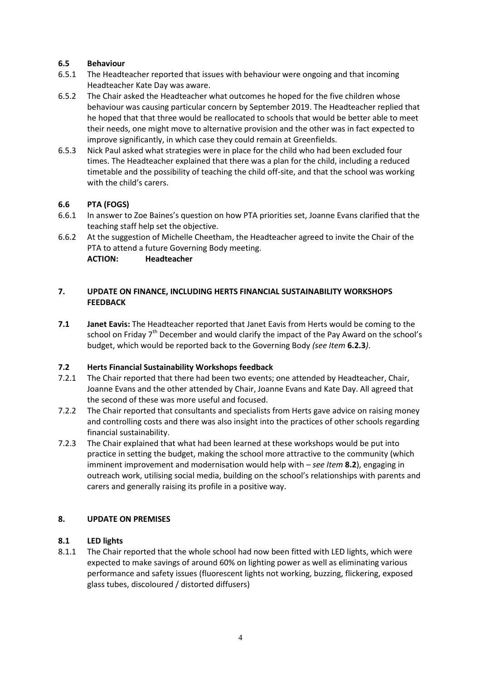## **6.5 Behaviour**

- 6.5.1 The Headteacher reported that issues with behaviour were ongoing and that incoming Headteacher Kate Day was aware.
- 6.5.2 The Chair asked the Headteacher what outcomes he hoped for the five children whose behaviour was causing particular concern by September 2019. The Headteacher replied that he hoped that that three would be reallocated to schools that would be better able to meet their needs, one might move to alternative provision and the other was in fact expected to improve significantly, in which case they could remain at Greenfields.
- 6.5.3 Nick Paul asked what strategies were in place for the child who had been excluded four times. The Headteacher explained that there was a plan for the child, including a reduced timetable and the possibility of teaching the child off-site, and that the school was working with the child's carers.

## **6.6 PTA (FOGS)**

- 6.6.1 In answer to Zoe Baines's question on how PTA priorities set, Joanne Evans clarified that the teaching staff help set the objective.
- 6.6.2 At the suggestion of Michelle Cheetham, the Headteacher agreed to invite the Chair of the PTA to attend a future Governing Body meeting. **ACTION: Headteacher**

## **7. UPDATE ON FINANCE, INCLUDING HERTS FINANCIAL SUSTAINABILITY WORKSHOPS FEEDBACK**

**7.1 Janet Eavis:** The Headteacher reported that Janet Eavis from Herts would be coming to the school on Friday  $7<sup>th</sup>$  December and would clarify the impact of the Pay Award on the school's budget, which would be reported back to the Governing Body *(see Item* **6.2.3***)*.

## **7.2 Herts Financial Sustainability Workshops feedback**

- 7.2.1 The Chair reported that there had been two events; one attended by Headteacher, Chair, Joanne Evans and the other attended by Chair, Joanne Evans and Kate Day. All agreed that the second of these was more useful and focused.
- 7.2.2 The Chair reported that consultants and specialists from Herts gave advice on raising money and controlling costs and there was also insight into the practices of other schools regarding financial sustainability.
- 7.2.3 The Chair explained that what had been learned at these workshops would be put into practice in setting the budget, making the school more attractive to the community (which imminent improvement and modernisation would help with – *see Item* **8.2**), engaging in outreach work, utilising social media, building on the school's relationships with parents and carers and generally raising its profile in a positive way.

## **8. UPDATE ON PREMISES**

## **8.1 LED lights**

8.1.1 The Chair reported that the whole school had now been fitted with LED lights, which were expected to make savings of around 60% on lighting power as well as eliminating various performance and safety issues (fluorescent lights not working, buzzing, flickering, exposed glass tubes, discoloured / distorted diffusers)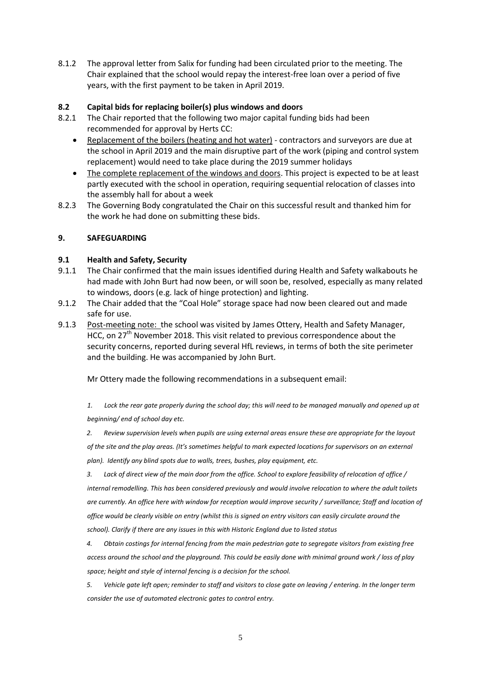8.1.2 The approval letter from Salix for funding had been circulated prior to the meeting. The Chair explained that the school would repay the interest-free loan over a period of five years, with the first payment to be taken in April 2019.

## **8.2 Capital bids for replacing boiler(s) plus windows and doors**

- 8.2.1 The Chair reported that the following two major capital funding bids had been recommended for approval by Herts CC:
	- Replacement of the boilers (heating and hot water) contractors and surveyors are due at the school in April 2019 and the main disruptive part of the work (piping and control system replacement) would need to take place during the 2019 summer holidays
	- The complete replacement of the windows and doors. This project is expected to be at least partly executed with the school in operation, requiring sequential relocation of classes into the assembly hall for about a week
- 8.2.3 The Governing Body congratulated the Chair on this successful result and thanked him for the work he had done on submitting these bids.

## **9. SAFEGUARDING**

## **9.1 Health and Safety, Security**

- 9.1.1 The Chair confirmed that the main issues identified during Health and Safety walkabouts he had made with John Burt had now been, or will soon be, resolved, especially as many related to windows, doors (e.g. lack of hinge protection) and lighting.
- 9.1.2 The Chair added that the "Coal Hole" storage space had now been cleared out and made safe for use.
- 9.1.3 Post-meeting note: the school was visited by James Ottery, Health and Safety Manager, HCC, on 27<sup>th</sup> November 2018. This visit related to previous correspondence about the security concerns, reported during several HfL reviews, in terms of both the site perimeter and the building. He was accompanied by John Burt.

Mr Ottery made the following recommendations in a subsequent email:

*1. Lock the rear gate properly during the school day; this will need to be managed manually and opened up at beginning/ end of school day etc.*

*2. Review supervision levels when pupils are using external areas ensure these are appropriate for the layout of the site and the play areas. (It's sometimes helpful to mark expected locations for supervisors on an external plan). Identify any blind spots due to walls, trees, bushes, play equipment, etc.*

*3. Lack of direct view of the main door from the office. School to explore feasibility of relocation of office / internal remodelling. This has been considered previously and would involve relocation to where the adult toilets are currently. An office here with window for reception would improve security / surveillance; Staff and location of office would be clearly visible on entry (whilst this is signed on entry visitors can easily circulate around the school). Clarify if there are any issues in this with Historic England due to listed status*

*4. Obtain costings for internal fencing from the main pedestrian gate to segregate visitors from existing free access around the school and the playground. This could be easily done with minimal ground work / loss of play space; height and style of internal fencing is a decision for the school.*

*5. Vehicle gate left open; reminder to staff and visitors to close gate on leaving / entering. In the longer term consider the use of automated electronic gates to control entry.*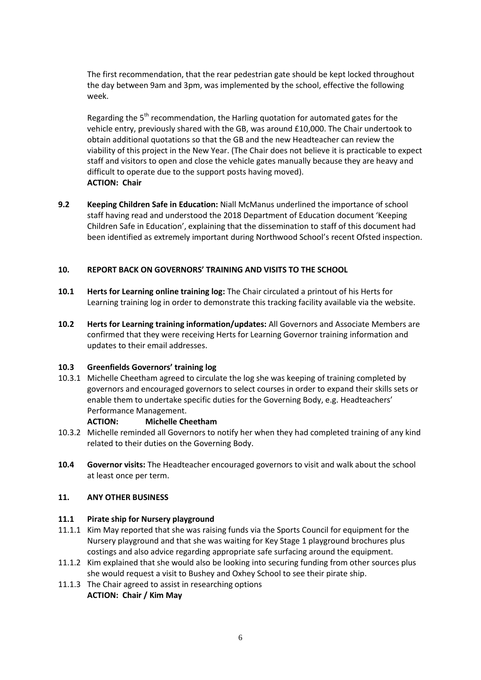The first recommendation, that the rear pedestrian gate should be kept locked throughout the day between 9am and 3pm, was implemented by the school, effective the following week.

Regarding the  $5<sup>th</sup>$  recommendation, the Harling quotation for automated gates for the vehicle entry, previously shared with the GB, was around £10,000. The Chair undertook to obtain additional quotations so that the GB and the new Headteacher can review the viability of this project in the New Year. (The Chair does not believe it is practicable to expect staff and visitors to open and close the vehicle gates manually because they are heavy and difficult to operate due to the support posts having moved). **ACTION: Chair**

**9.2 Keeping Children Safe in Education:** Niall McManus underlined the importance of school staff having read and understood the 2018 Department of Education document 'Keeping Children Safe in Education', explaining that the dissemination to staff of this document had been identified as extremely important during Northwood School's recent Ofsted inspection.

## **10. REPORT BACK ON GOVERNORS' TRAINING AND VISITS TO THE SCHOOL**

- **10.1 Herts for Learning online training log:** The Chair circulated a printout of his Herts for Learning training log in order to demonstrate this tracking facility available via the website.
- **10.2 Herts for Learning training information/updates:** All Governors and Associate Members are confirmed that they were receiving Herts for Learning Governor training information and updates to their email addresses.

#### **10.3 Greenfields Governors' training log**

10.3.1 Michelle Cheetham agreed to circulate the log she was keeping of training completed by governors and encouraged governors to select courses in order to expand their skills sets or enable them to undertake specific duties for the Governing Body, e.g. Headteachers' Performance Management.

#### **ACTION: Michelle Cheetham**

- 10.3.2 Michelle reminded all Governors to notify her when they had completed training of any kind related to their duties on the Governing Body.
- **10.4 Governor visits:** The Headteacher encouraged governors to visit and walk about the school at least once per term.

#### **11. ANY OTHER BUSINESS**

#### **11.1 Pirate ship for Nursery playground**

- 11.1.1 Kim May reported that she was raising funds via the Sports Council for equipment for the Nursery playground and that she was waiting for Key Stage 1 playground brochures plus costings and also advice regarding appropriate safe surfacing around the equipment.
- 11.1.2 Kim explained that she would also be looking into securing funding from other sources plus she would request a visit to Bushey and Oxhey School to see their pirate ship.
- 11.1.3 The Chair agreed to assist in researching options **ACTION: Chair / Kim May**